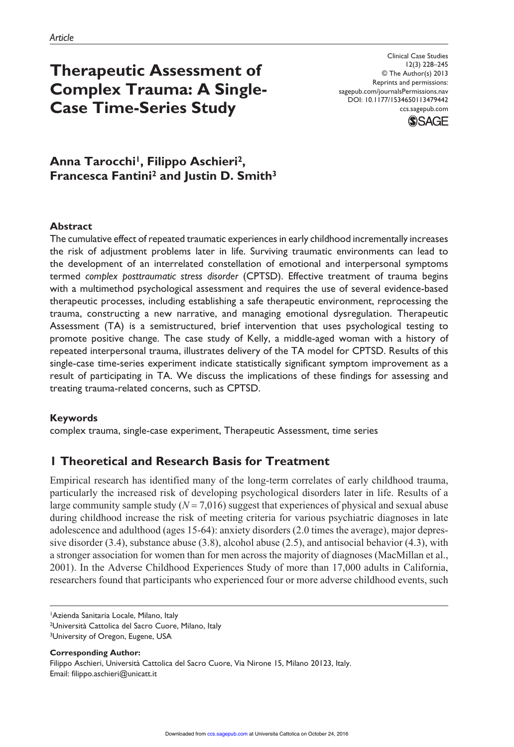# **Therapeutic Assessment of Complex Trauma: A Single-Case Time-Series Study**

Clinical Case Studies 12(3) 228–245 © The Author(s) 2013 Reprints and permissions: sagepub.com/journalsPermissions.nav DOI: 10.1177/1534650113479442 ccs.sagepub.com



## Anna Tarocchi<sup>1</sup>, Filippo Aschieri<sup>2</sup>, **Francesca Fantini2 and Justin D. Smith3**

#### **Abstract**

The cumulative effect of repeated traumatic experiences in early childhood incrementally increases the risk of adjustment problems later in life. Surviving traumatic environments can lead to the development of an interrelated constellation of emotional and interpersonal symptoms termed *complex posttraumatic stress disorder* (CPTSD). Effective treatment of trauma begins with a multimethod psychological assessment and requires the use of several evidence-based therapeutic processes, including establishing a safe therapeutic environment, reprocessing the trauma, constructing a new narrative, and managing emotional dysregulation. Therapeutic Assessment (TA) is a semistructured, brief intervention that uses psychological testing to promote positive change. The case study of Kelly, a middle-aged woman with a history of repeated interpersonal trauma, illustrates delivery of the TA model for CPTSD. Results of this single-case time-series experiment indicate statistically significant symptom improvement as a result of participating in TA. We discuss the implications of these findings for assessing and treating trauma-related concerns, such as CPTSD.

#### **Keywords**

complex trauma, single-case experiment, Therapeutic Assessment, time series

## **1 Theoretical and Research Basis for Treatment**

Empirical research has identified many of the long-term correlates of early childhood trauma, particularly the increased risk of developing psychological disorders later in life. Results of a large community sample study (*N* = 7,016) suggest that experiences of physical and sexual abuse during childhood increase the risk of meeting criteria for various psychiatric diagnoses in late adolescence and adulthood (ages 15-64): anxiety disorders (2.0 times the average), major depressive disorder (3.4), substance abuse (3.8), alcohol abuse (2.5), and antisocial behavior (4.3), with a stronger association for women than for men across the majority of diagnoses (MacMillan et al., 2001). In the Adverse Childhood Experiences Study of more than 17,000 adults in California, researchers found that participants who experienced four or more adverse childhood events, such

**Corresponding Author:** Filippo Aschieri, Università Cattolica del Sacro Cuore, Via Nirone 15, Milano 20123, Italy. Email: filippo.aschieri@unicatt.it

<sup>1</sup>Azienda Sanitaria Locale, Milano, Italy

<sup>2</sup>Università Cattolica del Sacro Cuore, Milano, Italy

<sup>3</sup>University of Oregon, Eugene, USA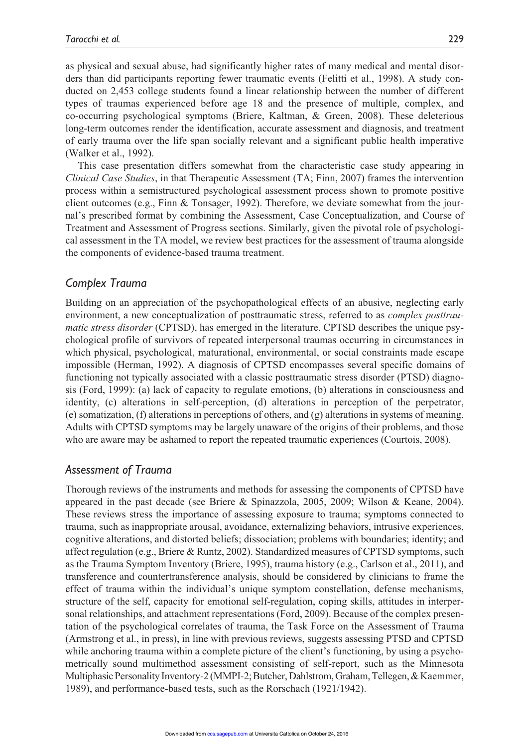as physical and sexual abuse, had significantly higher rates of many medical and mental disorders than did participants reporting fewer traumatic events (Felitti et al., 1998). A study conducted on 2,453 college students found a linear relationship between the number of different types of traumas experienced before age 18 and the presence of multiple, complex, and co-occurring psychological symptoms (Briere, Kaltman, & Green, 2008). These deleterious long-term outcomes render the identification, accurate assessment and diagnosis, and treatment of early trauma over the life span socially relevant and a significant public health imperative (Walker et al., 1992).

This case presentation differs somewhat from the characteristic case study appearing in *Clinical Case Studies*, in that Therapeutic Assessment (TA; Finn, 2007) frames the intervention process within a semistructured psychological assessment process shown to promote positive client outcomes (e.g., Finn & Tonsager, 1992). Therefore, we deviate somewhat from the journal's prescribed format by combining the Assessment, Case Conceptualization, and Course of Treatment and Assessment of Progress sections. Similarly, given the pivotal role of psychological assessment in the TA model, we review best practices for the assessment of trauma alongside the components of evidence-based trauma treatment.

## *Complex Trauma*

Building on an appreciation of the psychopathological effects of an abusive, neglecting early environment, a new conceptualization of posttraumatic stress, referred to as *complex posttraumatic stress disorder* (CPTSD), has emerged in the literature. CPTSD describes the unique psychological profile of survivors of repeated interpersonal traumas occurring in circumstances in which physical, psychological, maturational, environmental, or social constraints made escape impossible (Herman, 1992). A diagnosis of CPTSD encompasses several specific domains of functioning not typically associated with a classic posttraumatic stress disorder (PTSD) diagnosis (Ford, 1999): (a) lack of capacity to regulate emotions, (b) alterations in consciousness and identity, (c) alterations in self-perception, (d) alterations in perception of the perpetrator, (e) somatization, (f) alterations in perceptions of others, and (g) alterations in systems of meaning. Adults with CPTSD symptoms may be largely unaware of the origins of their problems, and those who are aware may be ashamed to report the repeated traumatic experiences (Courtois, 2008).

## *Assessment of Trauma*

Thorough reviews of the instruments and methods for assessing the components of CPTSD have appeared in the past decade (see Briere & Spinazzola, 2005, 2009; Wilson & Keane, 2004). These reviews stress the importance of assessing exposure to trauma; symptoms connected to trauma, such as inappropriate arousal, avoidance, externalizing behaviors, intrusive experiences, cognitive alterations, and distorted beliefs; dissociation; problems with boundaries; identity; and affect regulation (e.g., Briere & Runtz, 2002). Standardized measures of CPTSD symptoms, such as the Trauma Symptom Inventory (Briere, 1995), trauma history (e.g., Carlson et al., 2011), and transference and countertransference analysis, should be considered by clinicians to frame the effect of trauma within the individual's unique symptom constellation, defense mechanisms, structure of the self, capacity for emotional self-regulation, coping skills, attitudes in interpersonal relationships, and attachment representations (Ford, 2009). Because of the complex presentation of the psychological correlates of trauma, the Task Force on the Assessment of Trauma (Armstrong et al., in press), in line with previous reviews, suggests assessing PTSD and CPTSD while anchoring trauma within a complete picture of the client's functioning, by using a psychometrically sound multimethod assessment consisting of self-report, such as the Minnesota Multiphasic Personality Inventory-2 (MMPI-2; Butcher, Dahlstrom, Graham, Tellegen, & Kaemmer, 1989), and performance-based tests, such as the Rorschach (1921/1942).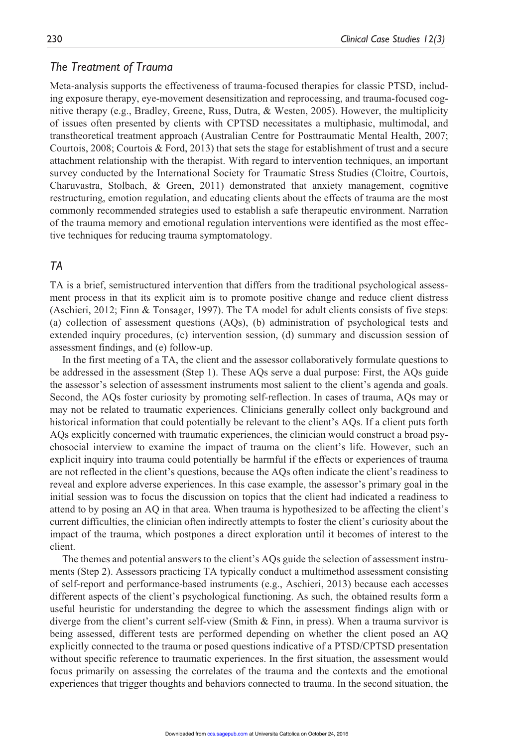## *The Treatment of Trauma*

Meta-analysis supports the effectiveness of trauma-focused therapies for classic PTSD, including exposure therapy, eye-movement desensitization and reprocessing, and trauma-focused cognitive therapy (e.g., Bradley, Greene, Russ, Dutra, & Westen, 2005). However, the multiplicity of issues often presented by clients with CPTSD necessitates a multiphasic, multimodal, and transtheoretical treatment approach (Australian Centre for Posttraumatic Mental Health, 2007; Courtois, 2008; Courtois & Ford, 2013) that sets the stage for establishment of trust and a secure attachment relationship with the therapist. With regard to intervention techniques, an important survey conducted by the International Society for Traumatic Stress Studies (Cloitre, Courtois, Charuvastra, Stolbach, & Green, 2011) demonstrated that anxiety management, cognitive restructuring, emotion regulation, and educating clients about the effects of trauma are the most commonly recommended strategies used to establish a safe therapeutic environment. Narration of the trauma memory and emotional regulation interventions were identified as the most effective techniques for reducing trauma symptomatology.

## *TA*

TA is a brief, semistructured intervention that differs from the traditional psychological assessment process in that its explicit aim is to promote positive change and reduce client distress (Aschieri, 2012; Finn & Tonsager, 1997). The TA model for adult clients consists of five steps: (a) collection of assessment questions (AQs), (b) administration of psychological tests and extended inquiry procedures, (c) intervention session, (d) summary and discussion session of assessment findings, and (e) follow-up.

In the first meeting of a TA, the client and the assessor collaboratively formulate questions to be addressed in the assessment (Step 1). These AQs serve a dual purpose: First, the AQs guide the assessor's selection of assessment instruments most salient to the client's agenda and goals. Second, the AQs foster curiosity by promoting self-reflection. In cases of trauma, AQs may or may not be related to traumatic experiences. Clinicians generally collect only background and historical information that could potentially be relevant to the client's AQs. If a client puts forth AQs explicitly concerned with traumatic experiences, the clinician would construct a broad psychosocial interview to examine the impact of trauma on the client's life. However, such an explicit inquiry into trauma could potentially be harmful if the effects or experiences of trauma are not reflected in the client's questions, because the AQs often indicate the client's readiness to reveal and explore adverse experiences. In this case example, the assessor's primary goal in the initial session was to focus the discussion on topics that the client had indicated a readiness to attend to by posing an AQ in that area. When trauma is hypothesized to be affecting the client's current difficulties, the clinician often indirectly attempts to foster the client's curiosity about the impact of the trauma, which postpones a direct exploration until it becomes of interest to the client.

The themes and potential answers to the client's AQs guide the selection of assessment instruments (Step 2). Assessors practicing TA typically conduct a multimethod assessment consisting of self-report and performance-based instruments (e.g., Aschieri, 2013) because each accesses different aspects of the client's psychological functioning. As such, the obtained results form a useful heuristic for understanding the degree to which the assessment findings align with or diverge from the client's current self-view (Smith & Finn, in press). When a trauma survivor is being assessed, different tests are performed depending on whether the client posed an AQ explicitly connected to the trauma or posed questions indicative of a PTSD/CPTSD presentation without specific reference to traumatic experiences. In the first situation, the assessment would focus primarily on assessing the correlates of the trauma and the contexts and the emotional experiences that trigger thoughts and behaviors connected to trauma. In the second situation, the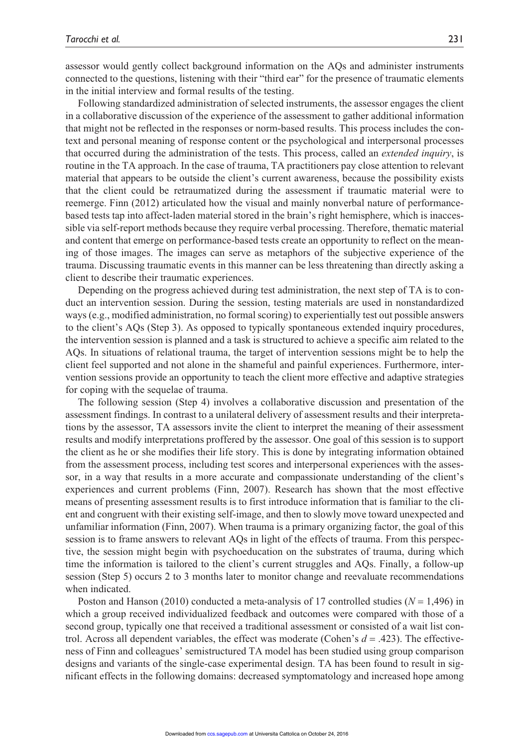assessor would gently collect background information on the AQs and administer instruments connected to the questions, listening with their "third ear" for the presence of traumatic elements in the initial interview and formal results of the testing.

Following standardized administration of selected instruments, the assessor engages the client in a collaborative discussion of the experience of the assessment to gather additional information that might not be reflected in the responses or norm-based results. This process includes the context and personal meaning of response content or the psychological and interpersonal processes that occurred during the administration of the tests. This process, called an *extended inquiry*, is routine in the TA approach. In the case of trauma, TA practitioners pay close attention to relevant material that appears to be outside the client's current awareness, because the possibility exists that the client could be retraumatized during the assessment if traumatic material were to reemerge. Finn (2012) articulated how the visual and mainly nonverbal nature of performancebased tests tap into affect-laden material stored in the brain's right hemisphere, which is inaccessible via self-report methods because they require verbal processing. Therefore, thematic material and content that emerge on performance-based tests create an opportunity to reflect on the meaning of those images. The images can serve as metaphors of the subjective experience of the trauma. Discussing traumatic events in this manner can be less threatening than directly asking a client to describe their traumatic experiences.

Depending on the progress achieved during test administration, the next step of TA is to conduct an intervention session. During the session, testing materials are used in nonstandardized ways (e.g., modified administration, no formal scoring) to experientially test out possible answers to the client's AQs (Step 3). As opposed to typically spontaneous extended inquiry procedures, the intervention session is planned and a task is structured to achieve a specific aim related to the AQs. In situations of relational trauma, the target of intervention sessions might be to help the client feel supported and not alone in the shameful and painful experiences. Furthermore, intervention sessions provide an opportunity to teach the client more effective and adaptive strategies for coping with the sequelae of trauma.

The following session (Step 4) involves a collaborative discussion and presentation of the assessment findings. In contrast to a unilateral delivery of assessment results and their interpretations by the assessor, TA assessors invite the client to interpret the meaning of their assessment results and modify interpretations proffered by the assessor. One goal of this session is to support the client as he or she modifies their life story. This is done by integrating information obtained from the assessment process, including test scores and interpersonal experiences with the assessor, in a way that results in a more accurate and compassionate understanding of the client's experiences and current problems (Finn, 2007). Research has shown that the most effective means of presenting assessment results is to first introduce information that is familiar to the client and congruent with their existing self-image, and then to slowly move toward unexpected and unfamiliar information (Finn, 2007). When trauma is a primary organizing factor, the goal of this session is to frame answers to relevant AQs in light of the effects of trauma. From this perspective, the session might begin with psychoeducation on the substrates of trauma, during which time the information is tailored to the client's current struggles and AQs. Finally, a follow-up session (Step 5) occurs 2 to 3 months later to monitor change and reevaluate recommendations when indicated.

Poston and Hanson (2010) conducted a meta-analysis of 17 controlled studies (*N* = 1,496) in which a group received individualized feedback and outcomes were compared with those of a second group, typically one that received a traditional assessment or consisted of a wait list control. Across all dependent variables, the effect was moderate (Cohen's  $d = .423$ ). The effectiveness of Finn and colleagues' semistructured TA model has been studied using group comparison designs and variants of the single-case experimental design. TA has been found to result in significant effects in the following domains: decreased symptomatology and increased hope among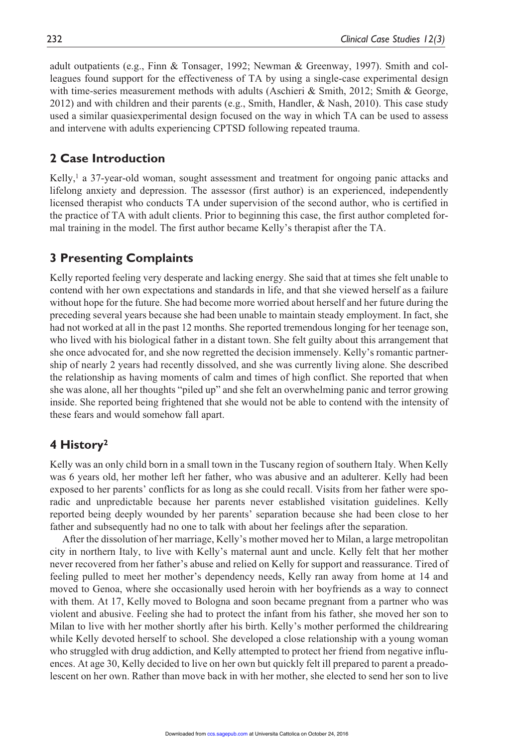adult outpatients (e.g., Finn & Tonsager, 1992; Newman & Greenway, 1997). Smith and colleagues found support for the effectiveness of TA by using a single-case experimental design with time-series measurement methods with adults (Aschieri & Smith, 2012; Smith & George, 2012) and with children and their parents (e.g., Smith, Handler, & Nash, 2010). This case study used a similar quasiexperimental design focused on the way in which TA can be used to assess and intervene with adults experiencing CPTSD following repeated trauma.

## **2 Case Introduction**

Kelly,<sup>1</sup> a 37-year-old woman, sought assessment and treatment for ongoing panic attacks and lifelong anxiety and depression. The assessor (first author) is an experienced, independently licensed therapist who conducts TA under supervision of the second author, who is certified in the practice of TA with adult clients. Prior to beginning this case, the first author completed formal training in the model. The first author became Kelly's therapist after the TA.

## **3 Presenting Complaints**

Kelly reported feeling very desperate and lacking energy. She said that at times she felt unable to contend with her own expectations and standards in life, and that she viewed herself as a failure without hope for the future. She had become more worried about herself and her future during the preceding several years because she had been unable to maintain steady employment. In fact, she had not worked at all in the past 12 months. She reported tremendous longing for her teenage son, who lived with his biological father in a distant town. She felt guilty about this arrangement that she once advocated for, and she now regretted the decision immensely. Kelly's romantic partnership of nearly 2 years had recently dissolved, and she was currently living alone. She described the relationship as having moments of calm and times of high conflict. She reported that when she was alone, all her thoughts "piled up" and she felt an overwhelming panic and terror growing inside. She reported being frightened that she would not be able to contend with the intensity of these fears and would somehow fall apart.

## **4 History2**

Kelly was an only child born in a small town in the Tuscany region of southern Italy. When Kelly was 6 years old, her mother left her father, who was abusive and an adulterer. Kelly had been exposed to her parents' conflicts for as long as she could recall. Visits from her father were sporadic and unpredictable because her parents never established visitation guidelines. Kelly reported being deeply wounded by her parents' separation because she had been close to her father and subsequently had no one to talk with about her feelings after the separation.

After the dissolution of her marriage, Kelly's mother moved her to Milan, a large metropolitan city in northern Italy, to live with Kelly's maternal aunt and uncle. Kelly felt that her mother never recovered from her father's abuse and relied on Kelly for support and reassurance. Tired of feeling pulled to meet her mother's dependency needs, Kelly ran away from home at 14 and moved to Genoa, where she occasionally used heroin with her boyfriends as a way to connect with them. At 17, Kelly moved to Bologna and soon became pregnant from a partner who was violent and abusive. Feeling she had to protect the infant from his father, she moved her son to Milan to live with her mother shortly after his birth. Kelly's mother performed the childrearing while Kelly devoted herself to school. She developed a close relationship with a young woman who struggled with drug addiction, and Kelly attempted to protect her friend from negative influences. At age 30, Kelly decided to live on her own but quickly felt ill prepared to parent a preadolescent on her own. Rather than move back in with her mother, she elected to send her son to live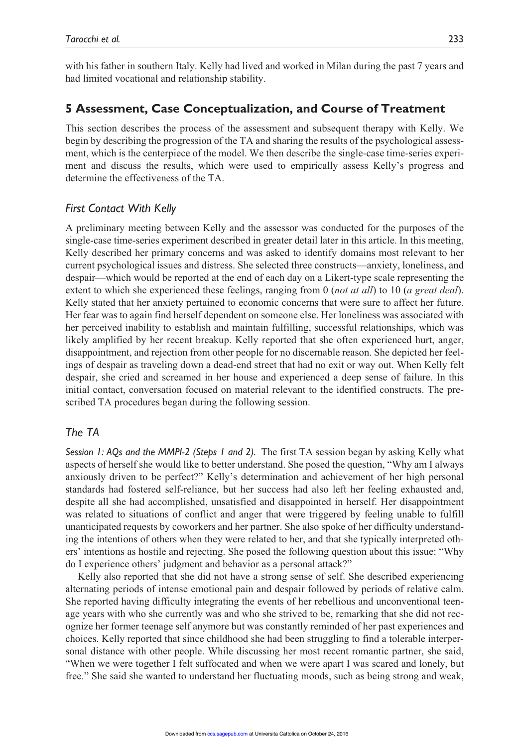with his father in southern Italy. Kelly had lived and worked in Milan during the past 7 years and had limited vocational and relationship stability.

## **5 Assessment, Case Conceptualization, and Course of Treatment**

This section describes the process of the assessment and subsequent therapy with Kelly. We begin by describing the progression of the TA and sharing the results of the psychological assessment, which is the centerpiece of the model. We then describe the single-case time-series experiment and discuss the results, which were used to empirically assess Kelly's progress and determine the effectiveness of the TA.

## *First Contact With Kelly*

A preliminary meeting between Kelly and the assessor was conducted for the purposes of the single-case time-series experiment described in greater detail later in this article. In this meeting, Kelly described her primary concerns and was asked to identify domains most relevant to her current psychological issues and distress. She selected three constructs—anxiety, loneliness, and despair—which would be reported at the end of each day on a Likert-type scale representing the extent to which she experienced these feelings, ranging from 0 (*not at all*) to 10 (*a great deal*). Kelly stated that her anxiety pertained to economic concerns that were sure to affect her future. Her fear was to again find herself dependent on someone else. Her loneliness was associated with her perceived inability to establish and maintain fulfilling, successful relationships, which was likely amplified by her recent breakup. Kelly reported that she often experienced hurt, anger, disappointment, and rejection from other people for no discernable reason. She depicted her feelings of despair as traveling down a dead-end street that had no exit or way out. When Kelly felt despair, she cried and screamed in her house and experienced a deep sense of failure. In this initial contact, conversation focused on material relevant to the identified constructs. The prescribed TA procedures began during the following session.

#### *The TA*

*Session 1: AQs and the MMPI-2 (Steps 1 and 2).* The first TA session began by asking Kelly what aspects of herself she would like to better understand. She posed the question, "Why am I always anxiously driven to be perfect?" Kelly's determination and achievement of her high personal standards had fostered self-reliance, but her success had also left her feeling exhausted and, despite all she had accomplished, unsatisfied and disappointed in herself. Her disappointment was related to situations of conflict and anger that were triggered by feeling unable to fulfill unanticipated requests by coworkers and her partner. She also spoke of her difficulty understanding the intentions of others when they were related to her, and that she typically interpreted others' intentions as hostile and rejecting. She posed the following question about this issue: "Why do I experience others' judgment and behavior as a personal attack?"

Kelly also reported that she did not have a strong sense of self. She described experiencing alternating periods of intense emotional pain and despair followed by periods of relative calm. She reported having difficulty integrating the events of her rebellious and unconventional teenage years with who she currently was and who she strived to be, remarking that she did not recognize her former teenage self anymore but was constantly reminded of her past experiences and choices. Kelly reported that since childhood she had been struggling to find a tolerable interpersonal distance with other people. While discussing her most recent romantic partner, she said, "When we were together I felt suffocated and when we were apart I was scared and lonely, but free." She said she wanted to understand her fluctuating moods, such as being strong and weak,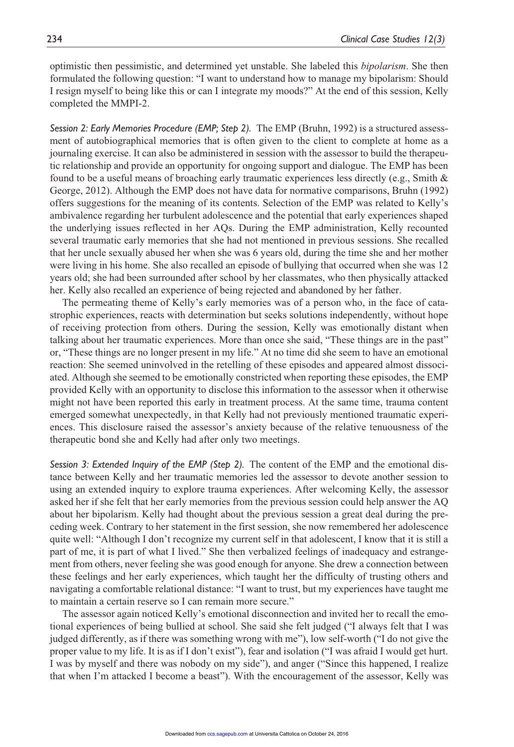optimistic then pessimistic, and determined yet unstable. She labeled this *bipolarism*. She then formulated the following question: "I want to understand how to manage my bipolarism: Should I resign myself to being like this or can I integrate my moods?" At the end of this session, Kelly completed the MMPI-2.

*Session 2: Early Memories Procedure (EMP; Step 2).* The EMP (Bruhn, 1992) is a structured assessment of autobiographical memories that is often given to the client to complete at home as a journaling exercise. It can also be administered in session with the assessor to build the therapeutic relationship and provide an opportunity for ongoing support and dialogue. The EMP has been found to be a useful means of broaching early traumatic experiences less directly (e.g., Smith & George, 2012). Although the EMP does not have data for normative comparisons, Bruhn (1992) offers suggestions for the meaning of its contents. Selection of the EMP was related to Kelly's ambivalence regarding her turbulent adolescence and the potential that early experiences shaped the underlying issues reflected in her AQs. During the EMP administration, Kelly recounted several traumatic early memories that she had not mentioned in previous sessions. She recalled that her uncle sexually abused her when she was 6 years old, during the time she and her mother were living in his home. She also recalled an episode of bullying that occurred when she was 12 years old; she had been surrounded after school by her classmates, who then physically attacked her. Kelly also recalled an experience of being rejected and abandoned by her father.

The permeating theme of Kelly's early memories was of a person who, in the face of catastrophic experiences, reacts with determination but seeks solutions independently, without hope of receiving protection from others. During the session, Kelly was emotionally distant when talking about her traumatic experiences. More than once she said, "These things are in the past" or, "These things are no longer present in my life." At no time did she seem to have an emotional reaction: She seemed uninvolved in the retelling of these episodes and appeared almost dissociated. Although she seemed to be emotionally constricted when reporting these episodes, the EMP provided Kelly with an opportunity to disclose this information to the assessor when it otherwise might not have been reported this early in treatment process. At the same time, trauma content emerged somewhat unexpectedly, in that Kelly had not previously mentioned traumatic experiences. This disclosure raised the assessor's anxiety because of the relative tenuousness of the therapeutic bond she and Kelly had after only two meetings.

*Session 3: Extended Inquiry of the EMP (Step 2).* The content of the EMP and the emotional distance between Kelly and her traumatic memories led the assessor to devote another session to using an extended inquiry to explore trauma experiences. After welcoming Kelly, the assessor asked her if she felt that her early memories from the previous session could help answer the AQ about her bipolarism. Kelly had thought about the previous session a great deal during the preceding week. Contrary to her statement in the first session, she now remembered her adolescence quite well: "Although I don't recognize my current self in that adolescent, I know that it is still a part of me, it is part of what I lived." She then verbalized feelings of inadequacy and estrangement from others, never feeling she was good enough for anyone. She drew a connection between these feelings and her early experiences, which taught her the difficulty of trusting others and navigating a comfortable relational distance: "I want to trust, but my experiences have taught me to maintain a certain reserve so I can remain more secure."

The assessor again noticed Kelly's emotional disconnection and invited her to recall the emotional experiences of being bullied at school. She said she felt judged ("I always felt that I was judged differently, as if there was something wrong with me"), low self-worth ("I do not give the proper value to my life. It is as if I don't exist"), fear and isolation ("I was afraid I would get hurt. I was by myself and there was nobody on my side"), and anger ("Since this happened, I realize that when I'm attacked I become a beast"). With the encouragement of the assessor, Kelly was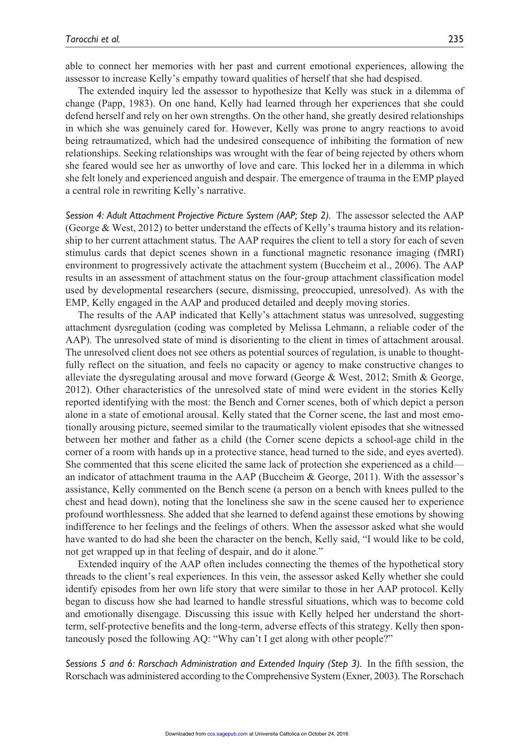The extended inquiry led the assessor to hypothesize that Kelly was stuck in a dilemma of change (Papp, 1983). On one hand, Kelly had learned through her experiences that she could defend herself and rely on her own strengths. On the other hand, she greatly desired relationships in which she was genuinely cared for. However, Kelly was prone to angry reactions to avoid being retraumatized, which had the undesired consequence of inhibiting the formation of new relationships. Seeking relationships was wrought with the fear of being rejected by others whom she feared would see her as unworthy of love and care. This locked her in a dilemma in which she felt lonely and experienced anguish and despair. The emergence of trauma in the EMP played a central role in rewriting Kelly's narrative.

*Session 4: Adult Attachment Projective Picture System (AAP; Step 2).* The assessor selected the AAP (George & West, 2012) to better understand the effects of Kelly's trauma history and its relationship to her current attachment status. The AAP requires the client to tell a story for each of seven stimulus cards that depict scenes shown in a functional magnetic resonance imaging (fMRI) environment to progressively activate the attachment system (Buccheim et al., 2006). The AAP results in an assessment of attachment status on the four-group attachment classification model used by developmental researchers (secure, dismissing, preoccupied, unresolved). As with the EMP, Kelly engaged in the AAP and produced detailed and deeply moving stories.

The results of the AAP indicated that Kelly's attachment status was unresolved, suggesting attachment dysregulation (coding was completed by Melissa Lehmann, a reliable coder of the AAP). The unresolved state of mind is disorienting to the client in times of attachment arousal. The unresolved client does not see others as potential sources of regulation, is unable to thoughtfully reflect on the situation, and feels no capacity or agency to make constructive changes to alleviate the dysregulating arousal and move forward (George & West, 2012; Smith & George, 2012). Other characteristics of the unresolved state of mind were evident in the stories Kelly reported identifying with the most: the Bench and Corner scenes, both of which depict a person alone in a state of emotional arousal. Kelly stated that the Corner scene, the last and most emotionally arousing picture, seemed similar to the traumatically violent episodes that she witnessed between her mother and father as a child (the Corner scene depicts a school-age child in the corner of a room with hands up in a protective stance, head turned to the side, and eyes averted). She commented that this scene elicited the same lack of protection she experienced as a child an indicator of attachment trauma in the AAP (Buccheim & George, 2011). With the assessor's assistance, Kelly commented on the Bench scene (a person on a bench with knees pulled to the chest and head down), noting that the loneliness she saw in the scene caused her to experience profound worthlessness. She added that she learned to defend against these emotions by showing indifference to her feelings and the feelings of others. When the assessor asked what she would have wanted to do had she been the character on the bench, Kelly said, "I would like to be cold, not get wrapped up in that feeling of despair, and do it alone."

Extended inquiry of the AAP often includes connecting the themes of the hypothetical story threads to the client's real experiences. In this vein, the assessor asked Kelly whether she could identify episodes from her own life story that were similar to those in her AAP protocol. Kelly began to discuss how she had learned to handle stressful situations, which was to become cold and emotionally disengage. Discussing this issue with Kelly helped her understand the shortterm, self-protective benefits and the long-term, adverse effects of this strategy. Kelly then spontaneously posed the following AQ: "Why can't I get along with other people?"

*Sessions 5 and 6: Rorschach Administration and Extended Inquiry (Step 3).* In the fifth session, the Rorschach was administered according to the Comprehensive System (Exner, 2003). The Rorschach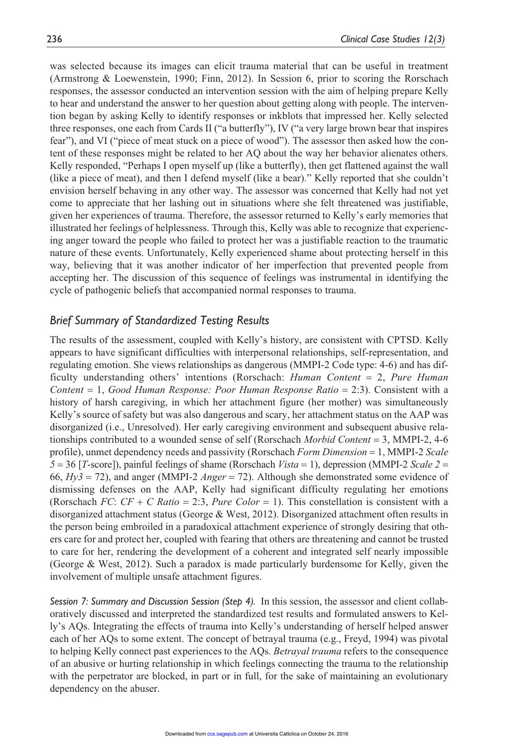was selected because its images can elicit trauma material that can be useful in treatment (Armstrong & Loewenstein, 1990; Finn, 2012). In Session 6, prior to scoring the Rorschach responses, the assessor conducted an intervention session with the aim of helping prepare Kelly to hear and understand the answer to her question about getting along with people. The intervention began by asking Kelly to identify responses or inkblots that impressed her. Kelly selected three responses, one each from Cards II ("a butterfly"), IV ("a very large brown bear that inspires fear"), and VI ("piece of meat stuck on a piece of wood"). The assessor then asked how the content of these responses might be related to her AQ about the way her behavior alienates others. Kelly responded, "Perhaps I open myself up (like a butterfly), then get flattened against the wall (like a piece of meat), and then I defend myself (like a bear)." Kelly reported that she couldn't envision herself behaving in any other way. The assessor was concerned that Kelly had not yet come to appreciate that her lashing out in situations where she felt threatened was justifiable, given her experiences of trauma. Therefore, the assessor returned to Kelly's early memories that illustrated her feelings of helplessness. Through this, Kelly was able to recognize that experiencing anger toward the people who failed to protect her was a justifiable reaction to the traumatic nature of these events. Unfortunately, Kelly experienced shame about protecting herself in this way, believing that it was another indicator of her imperfection that prevented people from accepting her. The discussion of this sequence of feelings was instrumental in identifying the cycle of pathogenic beliefs that accompanied normal responses to trauma.

## *Brief Summary of Standardized Testing Results*

The results of the assessment, coupled with Kelly's history, are consistent with CPTSD. Kelly appears to have significant difficulties with interpersonal relationships, self-representation, and regulating emotion. She views relationships as dangerous (MMPI-2 Code type: 4-6) and has difficulty understanding others' intentions (Rorschach: *Human Content* = 2, *Pure Human Content* = 1, *Good Human Response: Poor Human Response Ratio* = 2:3). Consistent with a history of harsh caregiving, in which her attachment figure (her mother) was simultaneously Kelly's source of safety but was also dangerous and scary, her attachment status on the AAP was disorganized (i.e., Unresolved). Her early caregiving environment and subsequent abusive relationships contributed to a wounded sense of self (Rorschach *Morbid Content* = 3, MMPI-2, 4-6 profile), unmet dependency needs and passivity (Rorschach *Form Dimension* = 1, MMPI-2 *Scale 5* = 36 [*T*-score]), painful feelings of shame (Rorschach *Vista* = 1), depression (MMPI-2 *Scale 2* = 66, *Hy3* = 72), and anger (MMPI-2 *Anger* = 72). Although she demonstrated some evidence of dismissing defenses on the AAP, Kelly had significant difficulty regulating her emotions (Rorschach *FC*: *CF* + *C Ratio* = 2:3, *Pure Color* = 1). This constellation is consistent with a disorganized attachment status (George & West, 2012). Disorganized attachment often results in the person being embroiled in a paradoxical attachment experience of strongly desiring that others care for and protect her, coupled with fearing that others are threatening and cannot be trusted to care for her, rendering the development of a coherent and integrated self nearly impossible (George & West, 2012). Such a paradox is made particularly burdensome for Kelly, given the involvement of multiple unsafe attachment figures.

*Session 7: Summary and Discussion Session (Step 4).* In this session, the assessor and client collaboratively discussed and interpreted the standardized test results and formulated answers to Kelly's AQs. Integrating the effects of trauma into Kelly's understanding of herself helped answer each of her AQs to some extent. The concept of betrayal trauma (e.g., Freyd, 1994) was pivotal to helping Kelly connect past experiences to the AQs. *Betrayal trauma* refers to the consequence of an abusive or hurting relationship in which feelings connecting the trauma to the relationship with the perpetrator are blocked, in part or in full, for the sake of maintaining an evolutionary dependency on the abuser.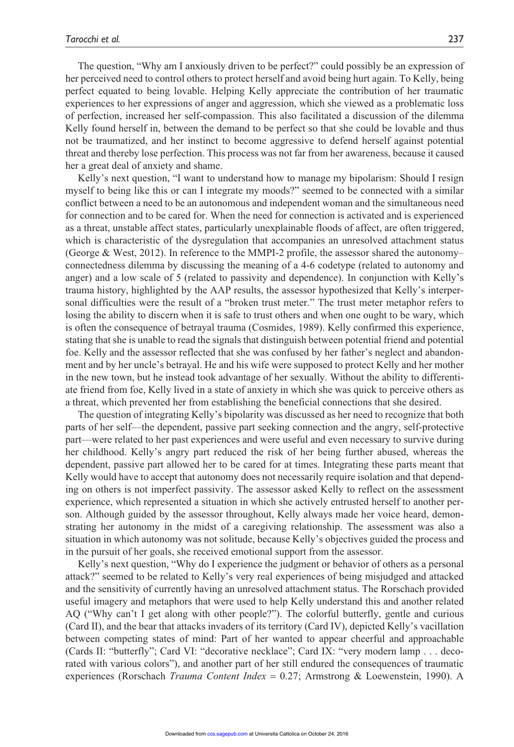The question, "Why am I anxiously driven to be perfect?" could possibly be an expression of her perceived need to control others to protect herself and avoid being hurt again. To Kelly, being perfect equated to being lovable. Helping Kelly appreciate the contribution of her traumatic experiences to her expressions of anger and aggression, which she viewed as a problematic loss of perfection, increased her self-compassion. This also facilitated a discussion of the dilemma Kelly found herself in, between the demand to be perfect so that she could be lovable and thus not be traumatized, and her instinct to become aggressive to defend herself against potential threat and thereby lose perfection. This process was not far from her awareness, because it caused her a great deal of anxiety and shame.

Kelly's next question, "I want to understand how to manage my bipolarism: Should I resign myself to being like this or can I integrate my moods?" seemed to be connected with a similar conflict between a need to be an autonomous and independent woman and the simultaneous need for connection and to be cared for. When the need for connection is activated and is experienced as a threat, unstable affect states, particularly unexplainable floods of affect, are often triggered, which is characteristic of the dysregulation that accompanies an unresolved attachment status (George & West, 2012). In reference to the MMPI-2 profile, the assessor shared the autonomy– connectedness dilemma by discussing the meaning of a 4-6 codetype (related to autonomy and anger) and a low scale of 5 (related to passivity and dependence). In conjunction with Kelly's trauma history, highlighted by the AAP results, the assessor hypothesized that Kelly's interpersonal difficulties were the result of a "broken trust meter." The trust meter metaphor refers to losing the ability to discern when it is safe to trust others and when one ought to be wary, which is often the consequence of betrayal trauma (Cosmides, 1989). Kelly confirmed this experience, stating that she is unable to read the signals that distinguish between potential friend and potential foe. Kelly and the assessor reflected that she was confused by her father's neglect and abandonment and by her uncle's betrayal. He and his wife were supposed to protect Kelly and her mother in the new town, but he instead took advantage of her sexually. Without the ability to differentiate friend from foe, Kelly lived in a state of anxiety in which she was quick to perceive others as a threat, which prevented her from establishing the beneficial connections that she desired.

The question of integrating Kelly's bipolarity was discussed as her need to recognize that both parts of her self—the dependent, passive part seeking connection and the angry, self-protective part—were related to her past experiences and were useful and even necessary to survive during her childhood. Kelly's angry part reduced the risk of her being further abused, whereas the dependent, passive part allowed her to be cared for at times. Integrating these parts meant that Kelly would have to accept that autonomy does not necessarily require isolation and that depending on others is not imperfect passivity. The assessor asked Kelly to reflect on the assessment experience, which represented a situation in which she actively entrusted herself to another person. Although guided by the assessor throughout, Kelly always made her voice heard, demonstrating her autonomy in the midst of a caregiving relationship. The assessment was also a situation in which autonomy was not solitude, because Kelly's objectives guided the process and in the pursuit of her goals, she received emotional support from the assessor.

Kelly's next question, "Why do I experience the judgment or behavior of others as a personal attack?" seemed to be related to Kelly's very real experiences of being misjudged and attacked and the sensitivity of currently having an unresolved attachment status. The Rorschach provided useful imagery and metaphors that were used to help Kelly understand this and another related AQ ("Why can't I get along with other people?"). The colorful butterfly, gentle and curious (Card II), and the bear that attacks invaders of its territory (Card IV), depicted Kelly's vacillation between competing states of mind: Part of her wanted to appear cheerful and approachable (Cards II: "butterfly"; Card VI: "decorative necklace"; Card IX: "very modern lamp . . . decorated with various colors"), and another part of her still endured the consequences of traumatic experiences (Rorschach *Trauma Content Index* = 0.27; Armstrong & Loewenstein, 1990). A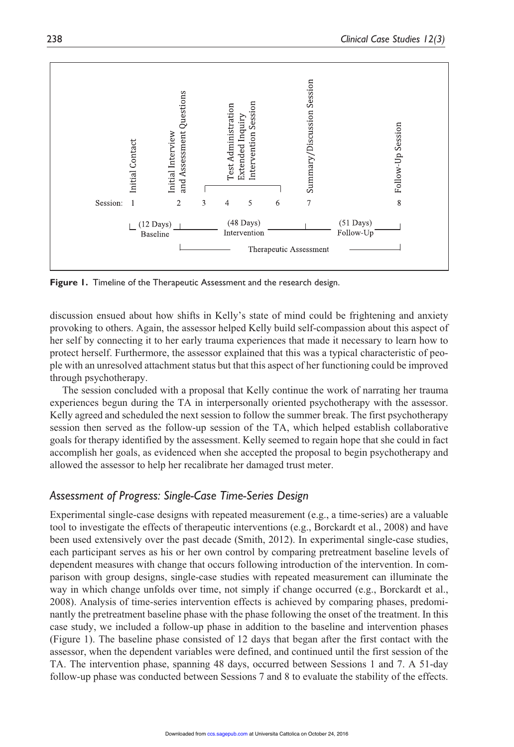

**Figure 1.** Timeline of the Therapeutic Assessment and the research design.

discussion ensued about how shifts in Kelly's state of mind could be frightening and anxiety provoking to others. Again, the assessor helped Kelly build self-compassion about this aspect of her self by connecting it to her early trauma experiences that made it necessary to learn how to protect herself. Furthermore, the assessor explained that this was a typical characteristic of people with an unresolved attachment status but that this aspect of her functioning could be improved through psychotherapy.

The session concluded with a proposal that Kelly continue the work of narrating her trauma experiences begun during the TA in interpersonally oriented psychotherapy with the assessor. Kelly agreed and scheduled the next session to follow the summer break. The first psychotherapy session then served as the follow-up session of the TA, which helped establish collaborative goals for therapy identified by the assessment. Kelly seemed to regain hope that she could in fact accomplish her goals, as evidenced when she accepted the proposal to begin psychotherapy and allowed the assessor to help her recalibrate her damaged trust meter.

## *Assessment of Progress: Single-Case Time-Series Design*

Experimental single-case designs with repeated measurement (e.g., a time-series) are a valuable tool to investigate the effects of therapeutic interventions (e.g., Borckardt et al., 2008) and have been used extensively over the past decade (Smith, 2012). In experimental single-case studies, each participant serves as his or her own control by comparing pretreatment baseline levels of dependent measures with change that occurs following introduction of the intervention. In comparison with group designs, single-case studies with repeated measurement can illuminate the way in which change unfolds over time, not simply if change occurred (e.g., Borckardt et al., 2008). Analysis of time-series intervention effects is achieved by comparing phases, predominantly the pretreatment baseline phase with the phase following the onset of the treatment. In this case study, we included a follow-up phase in addition to the baseline and intervention phases (Figure 1). The baseline phase consisted of 12 days that began after the first contact with the assessor, when the dependent variables were defined, and continued until the first session of the TA. The intervention phase, spanning 48 days, occurred between Sessions 1 and 7. A 51-day follow-up phase was conducted between Sessions 7 and 8 to evaluate the stability of the effects.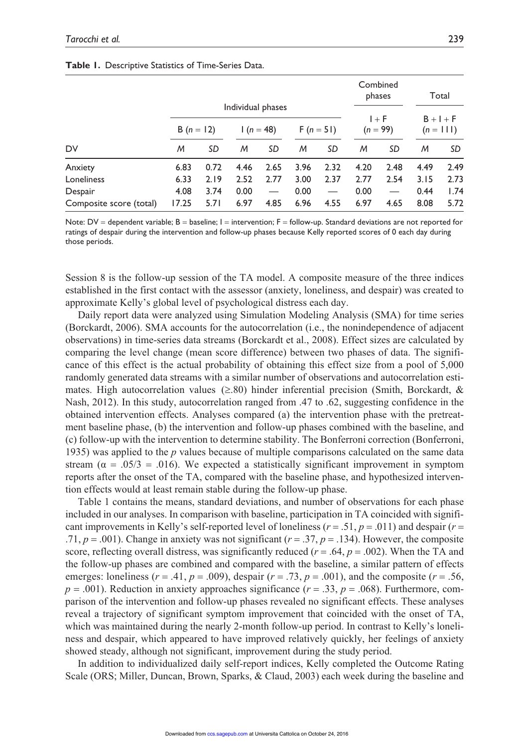|                                    | Individual phases |              |              |           |              |                                         | Combined<br>phases    |                                  | Total                  |              |
|------------------------------------|-------------------|--------------|--------------|-----------|--------------|-----------------------------------------|-----------------------|----------------------------------|------------------------|--------------|
|                                    | $B(n = 12)$       |              | $1(n = 48)$  |           | $F(n = 51)$  |                                         | $1 + F$<br>$(n = 99)$ |                                  | $B+I+F$<br>$(n = 111)$ |              |
| DV                                 | M                 | SD           | M            | SD        | M            | SD                                      | M                     | SD                               | M                      | SD           |
| Anxiety                            | 6.83              | 0.72         | 4.46         | 2.65      | 3.96         | 2.32                                    | 4.20                  | 2.48                             | 4.49                   | 2.49         |
| Loneliness                         | 6.33              | 2.19         | 2.52         | 2.77      | 3.00         | 2.37                                    | 2.77                  | 2.54                             | 3.15                   | 2.73         |
| Despair<br>Composite score (total) | 4.08<br>17.25     | 3.74<br>5.71 | 0.00<br>6.97 | —<br>4.85 | 0.00<br>6.96 | $\hspace{0.1mm}-\hspace{0.1mm}$<br>4.55 | 0.00<br>6.97          | $\overline{\phantom{0}}$<br>4.65 | 0.44<br>8.08           | 1.74<br>5.72 |

#### **Table 1.** Descriptive Statistics of Time-Series Data.

Note:  $DV =$  dependent variable;  $B =$  baseline;  $I =$  intervention;  $F =$  follow-up. Standard deviations are not reported for ratings of despair during the intervention and follow-up phases because Kelly reported scores of 0 each day during those periods.

Session 8 is the follow-up session of the TA model. A composite measure of the three indices established in the first contact with the assessor (anxiety, loneliness, and despair) was created to approximate Kelly's global level of psychological distress each day.

Daily report data were analyzed using Simulation Modeling Analysis (SMA) for time series (Borckardt, 2006). SMA accounts for the autocorrelation (i.e., the nonindependence of adjacent observations) in time-series data streams (Borckardt et al., 2008). Effect sizes are calculated by comparing the level change (mean score difference) between two phases of data. The significance of this effect is the actual probability of obtaining this effect size from a pool of 5,000 randomly generated data streams with a similar number of observations and autocorrelation estimates. High autocorrelation values ( $\geq 80$ ) hinder inferential precision (Smith, Borckardt, & Nash, 2012). In this study, autocorrelation ranged from .47 to .62, suggesting confidence in the obtained intervention effects. Analyses compared (a) the intervention phase with the pretreatment baseline phase, (b) the intervention and follow-up phases combined with the baseline, and (c) follow-up with the intervention to determine stability. The Bonferroni correction (Bonferroni, 1935) was applied to the *p* values because of multiple comparisons calculated on the same data stream ( $\alpha = .05/3 = .016$ ). We expected a statistically significant improvement in symptom reports after the onset of the TA, compared with the baseline phase, and hypothesized intervention effects would at least remain stable during the follow-up phase.

Table 1 contains the means, standard deviations, and number of observations for each phase included in our analyses. In comparison with baseline, participation in TA coincided with significant improvements in Kelly's self-reported level of loneliness  $(r = .51, p = .011)$  and despair  $(r = .011)$ .71,  $p = .001$ ). Change in anxiety was not significant ( $r = .37$ ,  $p = .134$ ). However, the composite score, reflecting overall distress, was significantly reduced  $(r = .64, p = .002)$ . When the TA and the follow-up phases are combined and compared with the baseline, a similar pattern of effects emerges: loneliness  $(r = .41, p = .009)$ , despair  $(r = .73, p = .001)$ , and the composite  $(r = .56,$  $p = .001$ ). Reduction in anxiety approaches significance ( $r = .33$ ,  $p = .068$ ). Furthermore, comparison of the intervention and follow-up phases revealed no significant effects. These analyses reveal a trajectory of significant symptom improvement that coincided with the onset of TA, which was maintained during the nearly 2-month follow-up period. In contrast to Kelly's loneliness and despair, which appeared to have improved relatively quickly, her feelings of anxiety showed steady, although not significant, improvement during the study period.

In addition to individualized daily self-report indices, Kelly completed the Outcome Rating Scale (ORS; Miller, Duncan, Brown, Sparks, & Claud, 2003) each week during the baseline and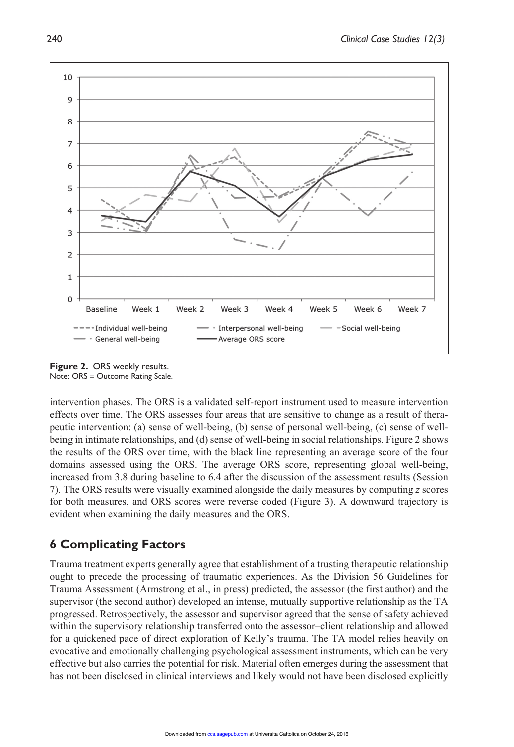

**Figure 2.** ORS weekly results. Note: ORS = Outcome Rating Scale.

intervention phases. The ORS is a validated self-report instrument used to measure intervention effects over time. The ORS assesses four areas that are sensitive to change as a result of therapeutic intervention: (a) sense of well-being, (b) sense of personal well-being, (c) sense of wellbeing in intimate relationships, and (d) sense of well-being in social relationships. Figure 2 shows the results of the ORS over time, with the black line representing an average score of the four domains assessed using the ORS. The average ORS score, representing global well-being, increased from 3.8 during baseline to 6.4 after the discussion of the assessment results (Session 7). The ORS results were visually examined alongside the daily measures by computing *z* scores for both measures, and ORS scores were reverse coded (Figure 3). A downward trajectory is evident when examining the daily measures and the ORS.

## **6 Complicating Factors**

Trauma treatment experts generally agree that establishment of a trusting therapeutic relationship ought to precede the processing of traumatic experiences. As the Division 56 Guidelines for Trauma Assessment (Armstrong et al., in press) predicted, the assessor (the first author) and the supervisor (the second author) developed an intense, mutually supportive relationship as the TA progressed. Retrospectively, the assessor and supervisor agreed that the sense of safety achieved within the supervisory relationship transferred onto the assessor–client relationship and allowed for a quickened pace of direct exploration of Kelly's trauma. The TA model relies heavily on evocative and emotionally challenging psychological assessment instruments, which can be very effective but also carries the potential for risk. Material often emerges during the assessment that has not been disclosed in clinical interviews and likely would not have been disclosed explicitly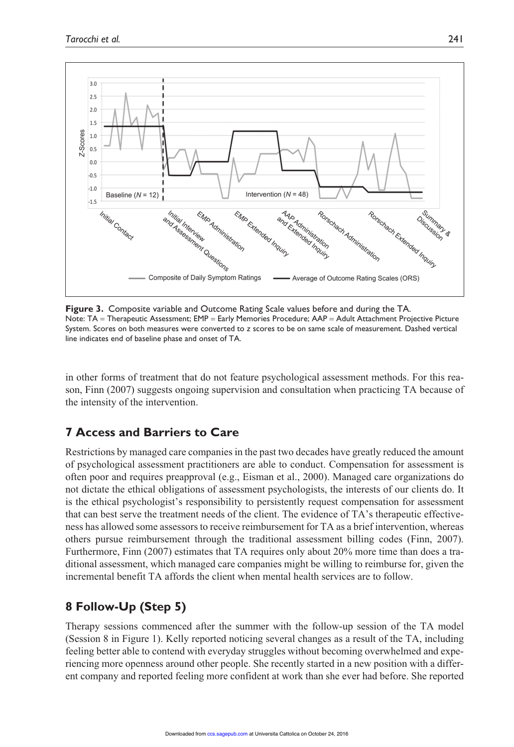

**Figure 3.** Composite variable and Outcome Rating Scale values before and during the TA. Note: TA = Therapeutic Assessment; EMP = Early Memories Procedure; AAP = Adult Attachment Projective Picture System. Scores on both measures were converted to *z* scores to be on same scale of measurement. Dashed vertical line indicates end of baseline phase and onset of TA.

in other forms of treatment that do not feature psychological assessment methods. For this reason, Finn (2007) suggests ongoing supervision and consultation when practicing TA because of the intensity of the intervention.

## **7 Access and Barriers to Care**

Restrictions by managed care companies in the past two decades have greatly reduced the amount of psychological assessment practitioners are able to conduct. Compensation for assessment is often poor and requires preapproval (e.g., Eisman et al., 2000). Managed care organizations do not dictate the ethical obligations of assessment psychologists, the interests of our clients do. It is the ethical psychologist's responsibility to persistently request compensation for assessment that can best serve the treatment needs of the client. The evidence of TA's therapeutic effectiveness has allowed some assessors to receive reimbursement for TA as a brief intervention, whereas others pursue reimbursement through the traditional assessment billing codes (Finn, 2007). Furthermore, Finn (2007) estimates that TA requires only about 20% more time than does a traditional assessment, which managed care companies might be willing to reimburse for, given the incremental benefit TA affords the client when mental health services are to follow.

## **8 Follow-Up (Step 5)**

Therapy sessions commenced after the summer with the follow-up session of the TA model (Session 8 in Figure 1). Kelly reported noticing several changes as a result of the TA, including feeling better able to contend with everyday struggles without becoming overwhelmed and experiencing more openness around other people. She recently started in a new position with a different company and reported feeling more confident at work than she ever had before. She reported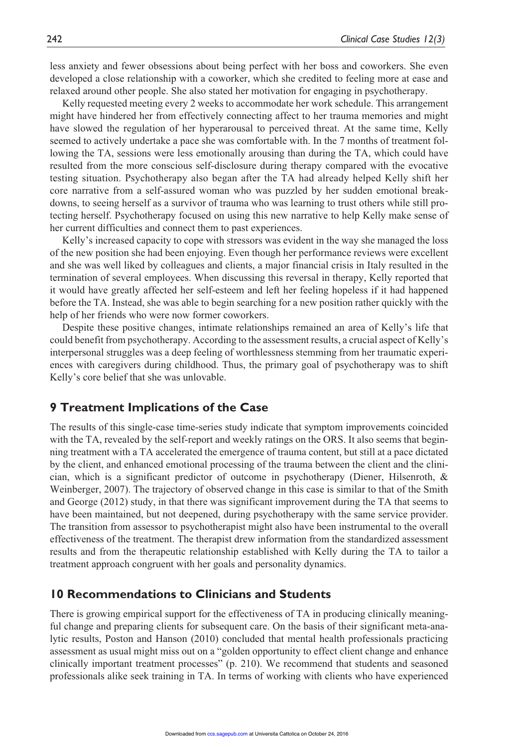less anxiety and fewer obsessions about being perfect with her boss and coworkers. She even developed a close relationship with a coworker, which she credited to feeling more at ease and relaxed around other people. She also stated her motivation for engaging in psychotherapy.

Kelly requested meeting every 2 weeks to accommodate her work schedule. This arrangement might have hindered her from effectively connecting affect to her trauma memories and might have slowed the regulation of her hyperarousal to perceived threat. At the same time, Kelly seemed to actively undertake a pace she was comfortable with. In the 7 months of treatment following the TA, sessions were less emotionally arousing than during the TA, which could have resulted from the more conscious self-disclosure during therapy compared with the evocative testing situation. Psychotherapy also began after the TA had already helped Kelly shift her core narrative from a self-assured woman who was puzzled by her sudden emotional breakdowns, to seeing herself as a survivor of trauma who was learning to trust others while still protecting herself. Psychotherapy focused on using this new narrative to help Kelly make sense of her current difficulties and connect them to past experiences.

Kelly's increased capacity to cope with stressors was evident in the way she managed the loss of the new position she had been enjoying. Even though her performance reviews were excellent and she was well liked by colleagues and clients, a major financial crisis in Italy resulted in the termination of several employees. When discussing this reversal in therapy, Kelly reported that it would have greatly affected her self-esteem and left her feeling hopeless if it had happened before the TA. Instead, she was able to begin searching for a new position rather quickly with the help of her friends who were now former coworkers.

Despite these positive changes, intimate relationships remained an area of Kelly's life that could benefit from psychotherapy. According to the assessment results, a crucial aspect of Kelly's interpersonal struggles was a deep feeling of worthlessness stemming from her traumatic experiences with caregivers during childhood. Thus, the primary goal of psychotherapy was to shift Kelly's core belief that she was unlovable.

## **9 Treatment Implications of the Case**

The results of this single-case time-series study indicate that symptom improvements coincided with the TA, revealed by the self-report and weekly ratings on the ORS. It also seems that beginning treatment with a TA accelerated the emergence of trauma content, but still at a pace dictated by the client, and enhanced emotional processing of the trauma between the client and the clinician, which is a significant predictor of outcome in psychotherapy (Diener, Hilsenroth, & Weinberger, 2007). The trajectory of observed change in this case is similar to that of the Smith and George (2012) study, in that there was significant improvement during the TA that seems to have been maintained, but not deepened, during psychotherapy with the same service provider. The transition from assessor to psychotherapist might also have been instrumental to the overall effectiveness of the treatment. The therapist drew information from the standardized assessment results and from the therapeutic relationship established with Kelly during the TA to tailor a treatment approach congruent with her goals and personality dynamics.

## **10 Recommendations to Clinicians and Students**

There is growing empirical support for the effectiveness of TA in producing clinically meaningful change and preparing clients for subsequent care. On the basis of their significant meta-analytic results, Poston and Hanson (2010) concluded that mental health professionals practicing assessment as usual might miss out on a "golden opportunity to effect client change and enhance clinically important treatment processes" (p. 210). We recommend that students and seasoned professionals alike seek training in TA. In terms of working with clients who have experienced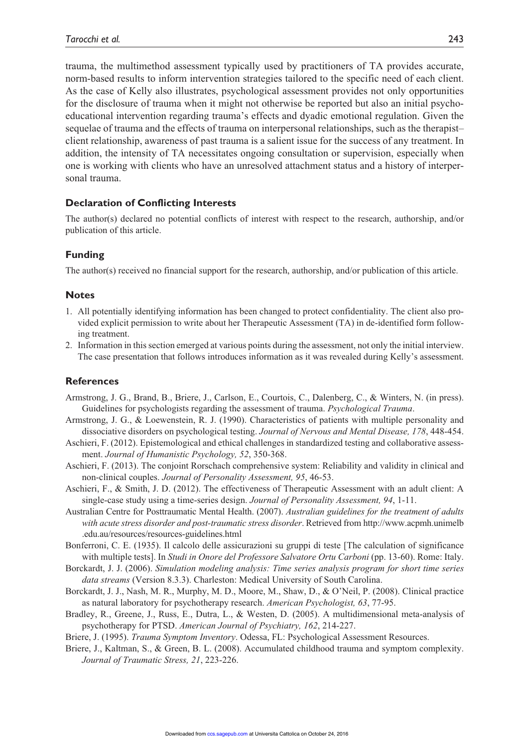trauma, the multimethod assessment typically used by practitioners of TA provides accurate, norm-based results to inform intervention strategies tailored to the specific need of each client. As the case of Kelly also illustrates, psychological assessment provides not only opportunities for the disclosure of trauma when it might not otherwise be reported but also an initial psychoeducational intervention regarding trauma's effects and dyadic emotional regulation. Given the sequelae of trauma and the effects of trauma on interpersonal relationships, such as the therapist– client relationship, awareness of past trauma is a salient issue for the success of any treatment. In addition, the intensity of TA necessitates ongoing consultation or supervision, especially when one is working with clients who have an unresolved attachment status and a history of interpersonal trauma.

#### **Declaration of Conflicting Interests**

The author(s) declared no potential conflicts of interest with respect to the research, authorship, and/or publication of this article.

#### **Funding**

The author(s) received no financial support for the research, authorship, and/or publication of this article.

#### **Notes**

- 1. All potentially identifying information has been changed to protect confidentiality. The client also provided explicit permission to write about her Therapeutic Assessment (TA) in de-identified form following treatment.
- 2. Information in this section emerged at various points during the assessment, not only the initial interview. The case presentation that follows introduces information as it was revealed during Kelly's assessment.

#### **References**

- Armstrong, J. G., Brand, B., Briere, J., Carlson, E., Courtois, C., Dalenberg, C., & Winters, N. (in press). Guidelines for psychologists regarding the assessment of trauma. *Psychological Trauma*.
- Armstrong, J. G., & Loewenstein, R. J. (1990). Characteristics of patients with multiple personality and dissociative disorders on psychological testing. *Journal of Nervous and Mental Disease, 178*, 448-454.
- Aschieri, F. (2012). Epistemological and ethical challenges in standardized testing and collaborative assessment. *Journal of Humanistic Psychology, 52*, 350-368.
- Aschieri, F. (2013). The conjoint Rorschach comprehensive system: Reliability and validity in clinical and non-clinical couples. *Journal of Personality Assessment, 95*, 46-53.
- Aschieri, F., & Smith, J. D. (2012). The effectiveness of Therapeutic Assessment with an adult client: A single-case study using a time-series design. *Journal of Personality Assessment, 94*, 1-11.
- Australian Centre for Posttraumatic Mental Health. (2007). *Australian guidelines for the treatment of adults with acute stress disorder and post-traumatic stress disorder*. Retrieved from http://www.acpmh.unimelb .edu.au/resources/resources-guidelines.html
- Bonferroni, C. E. (1935). Il calcolo delle assicurazioni su gruppi di teste [The calculation of significance with multiple tests]. In *Studi in Onore del Professore Salvatore Ortu Carboni* (pp. 13-60). Rome: Italy.
- Borckardt, J. J. (2006). *Simulation modeling analysis: Time series analysis program for short time series data streams* (Version 8.3.3). Charleston: Medical University of South Carolina.
- Borckardt, J. J., Nash, M. R., Murphy, M. D., Moore, M., Shaw, D., & O'Neil, P. (2008). Clinical practice as natural laboratory for psychotherapy research. *American Psychologist, 63*, 77-95.
- Bradley, R., Greene, J., Russ, E., Dutra, L., & Westen, D. (2005). A multidimensional meta-analysis of psychotherapy for PTSD. *American Journal of Psychiatry, 162*, 214-227.
- Briere, J. (1995). *Trauma Symptom Inventory*. Odessa, FL: Psychological Assessment Resources.
- Briere, J., Kaltman, S., & Green, B. L. (2008). Accumulated childhood trauma and symptom complexity. *Journal of Traumatic Stress, 21*, 223-226.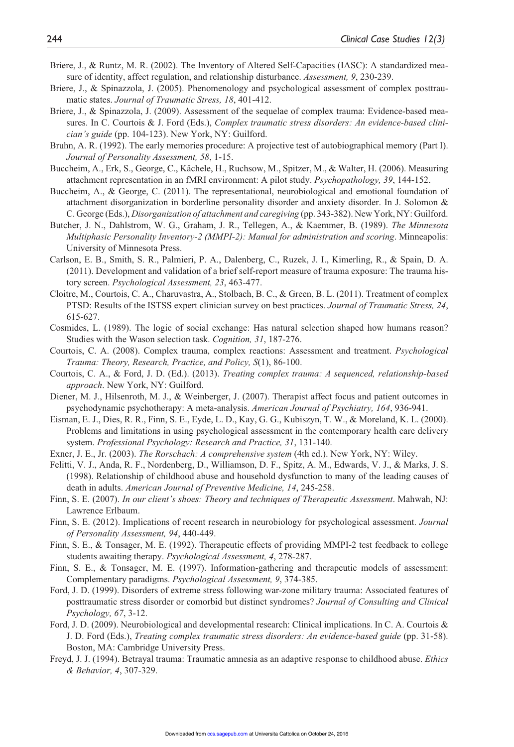- Briere, J., & Runtz, M. R. (2002). The Inventory of Altered Self-Capacities (IASC): A standardized measure of identity, affect regulation, and relationship disturbance. *Assessment, 9*, 230-239.
- Briere, J., & Spinazzola, J. (2005). Phenomenology and psychological assessment of complex posttraumatic states. *Journal of Traumatic Stress, 18*, 401-412.
- Briere, J., & Spinazzola, J. (2009). Assessment of the sequelae of complex trauma: Evidence-based measures. In C. Courtois & J. Ford (Eds.), *Complex traumatic stress disorders: An evidence-based clinician's guide* (pp. 104-123). New York, NY: Guilford.
- Bruhn, A. R. (1992). The early memories procedure: A projective test of autobiographical memory (Part I). *Journal of Personality Assessment, 58*, 1-15.
- Buccheim, A., Erk, S., George, C., Kächele, H., Ruchsow, M., Spitzer, M., & Walter, H. (2006). Measuring attachment representation in an fMRI environment: A pilot study. *Psychopathology, 39*, 144-152.
- Buccheim, A., & George, C. (2011). The representational, neurobiological and emotional foundation of attachment disorganization in borderline personality disorder and anxiety disorder. In J. Solomon & C. George (Eds.), *Disorganization of attachment and caregiving* (pp. 343-382). New York, NY: Guilford.
- Butcher, J. N., Dahlstrom, W. G., Graham, J. R., Tellegen, A., & Kaemmer, B. (1989). *The Minnesota Multiphasic Personality Inventory-2 (MMPI-2): Manual for administration and scoring*. Minneapolis: University of Minnesota Press.
- Carlson, E. B., Smith, S. R., Palmieri, P. A., Dalenberg, C., Ruzek, J. I., Kimerling, R., & Spain, D. A. (2011). Development and validation of a brief self-report measure of trauma exposure: The trauma history screen. *Psychological Assessment, 23*, 463-477.
- Cloitre, M., Courtois, C. A., Charuvastra, A., Stolbach, B. C., & Green, B. L. (2011). Treatment of complex PTSD: Results of the ISTSS expert clinician survey on best practices. *Journal of Traumatic Stress, 24*, 615-627.
- Cosmides, L. (1989). The logic of social exchange: Has natural selection shaped how humans reason? Studies with the Wason selection task. *Cognition, 31*, 187-276.
- Courtois, C. A. (2008). Complex trauma, complex reactions: Assessment and treatment. *Psychological Trauma: Theory, Research, Practice, and Policy, S*(1), 86-100.
- Courtois, C. A., & Ford, J. D. (Ed.). (2013). *Treating complex trauma: A sequenced, relationship-based approach*. New York, NY: Guilford.
- Diener, M. J., Hilsenroth, M. J., & Weinberger, J. (2007). Therapist affect focus and patient outcomes in psychodynamic psychotherapy: A meta-analysis. *American Journal of Psychiatry, 164*, 936-941.
- Eisman, E. J., Dies, R. R., Finn, S. E., Eyde, L. D., Kay, G. G., Kubiszyn, T. W., & Moreland, K. L. (2000). Problems and limitations in using psychological assessment in the contemporary health care delivery system. *Professional Psychology: Research and Practice, 31*, 131-140.
- Exner, J. E., Jr. (2003). *The Rorschach: A comprehensive system* (4th ed.). New York, NY: Wiley.
- Felitti, V. J., Anda, R. F., Nordenberg, D., Williamson, D. F., Spitz, A. M., Edwards, V. J., & Marks, J. S. (1998). Relationship of childhood abuse and household dysfunction to many of the leading causes of death in adults. *American Journal of Preventive Medicine, 14*, 245-258.
- Finn, S. E. (2007). *In our client's shoes: Theory and techniques of Therapeutic Assessment*. Mahwah, NJ: Lawrence Erlbaum.
- Finn, S. E. (2012). Implications of recent research in neurobiology for psychological assessment. *Journal of Personality Assessment, 94*, 440-449.
- Finn, S. E., & Tonsager, M. E. (1992). Therapeutic effects of providing MMPI-2 test feedback to college students awaiting therapy. *Psychological Assessment, 4*, 278-287.
- Finn, S. E., & Tonsager, M. E. (1997). Information-gathering and therapeutic models of assessment: Complementary paradigms. *Psychological Assessment, 9*, 374-385.
- Ford, J. D. (1999). Disorders of extreme stress following war-zone military trauma: Associated features of posttraumatic stress disorder or comorbid but distinct syndromes? *Journal of Consulting and Clinical Psychology, 67*, 3-12.
- Ford, J. D. (2009). Neurobiological and developmental research: Clinical implications. In C. A. Courtois & J. D. Ford (Eds.), *Treating complex traumatic stress disorders: An evidence-based guide* (pp. 31-58). Boston, MA: Cambridge University Press.
- Freyd, J. J. (1994). Betrayal trauma: Traumatic amnesia as an adaptive response to childhood abuse. *Ethics & Behavior, 4*, 307-329.